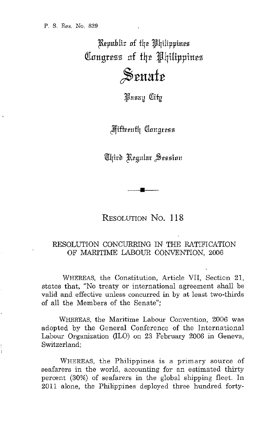Republic of the Philippines QInltgr~ss **nf** f4~ '4Hippilt~s  $\mathcal{S}$ enate

Pasay City

**Miffeenth Congress** 

Chird Regular Session

RESOLUTION No. **118** 

**•** 

## RESOLUTION CONCURRING IN THE RATIFICATION OF MARITIME LABOUR CONVENTION, 2006

WHEREAS, the Constitution, Article VII, Section 21, states that, "No treaty or international agreement shall be valid and effective unless concurred in by at least two-thirds of all the Members of the Senate";

WHEREAS, the Maritime Labour Convention, 2006 was adopted by the General Conference of the International Labour Organization (ILO) on 23 February 2006 in Geneva, Switzerland;

WHEREAS, the Philippines is a primary source of seafarers in the world, accounting for an estimated thirty percent (30%) of seafarers in the global shipping fleet. In 2011 alone, the Philippines deployed three hundred forty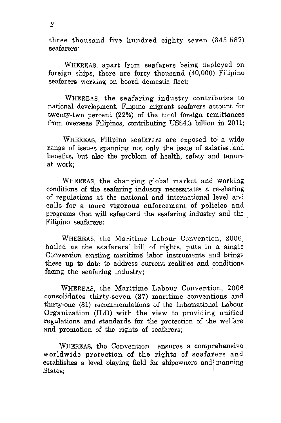three thousand five hundred eighty seven (343,587) seafarers;

WHEREAS, apart from seafarers being deployed on foreign ships, there are forty thousand (40,000) Filipino seafarers working on board domestic fleet;

WHEREAS, the seafaring industry contributes to national development. Filipino migrant seafarers account for twenty-two percent (22%) of the total foreign remittances from Overseas Filipinos, contributing US\$4.3 billion in 2011;

WHEREAS, Filipino seafarers are exposed to a wide range of issues spanning not only the issue of salaries and benefits, but also the problem of health, safety and tenure at work;

WHEREAS, the changing global market and working conditions of the seafaring industry necessitates a re-sharing of regulations at the national and international level and calls for a more vigorous enforcement of policies and programs that will safeguard the seafaring industry; and the Filipino seafarers;

WHEREAS, the Maritime Labour Convention, 2006, hailed as the seafarers' bill of rights, puts in a single Convention existing maritime labor instruments and brings these up to date to address current realities and conditions facing the seafaring industry;

WHEREAS, the Maritime Labour Convention, 2006 consolidates thirty-seven (37) maritime conventions and thirty-one (31) recommendations of the International Labour Organization (ILO) with the view to providing unified regulations and standards for the protection of the welfare and promotion of the rights of seafarers;

WHEREAS, the Convention ensures a comprehensive worldwide protection of the rights of seafarers and establishes a level playing field for shipowners and manning States: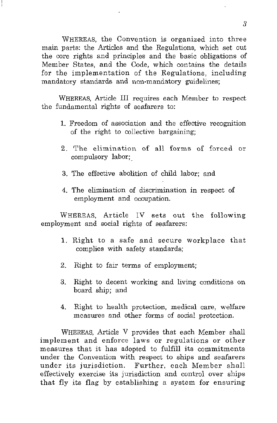WHEREAS, the Convention is organized into three main parts: the Articles and the Regulations, which set out the core rights and principles and the basic obligations of Member States, and the Code, which contains the details for the implementation of the Regulations, including mandatory standards and non-mandatory guidelines;

WHEREAS, Article III requires each Member to respect the fundamental rights of seafarers to:

- 1. Freedom of association and the effective recognition of the right to collective bargaining;
- 2. The elimination of all forms of forced or compulsory labor;\_
- 3. The effective abolition of child labor; and
- 4. The elimination of discrimination in respect of employment and occupation.

WHEREAS, Article IV sets out the following employment and social rights of seafarers:

- 1. Right to a safe and secure workplace that complies with safety standards;
- 2. Right to fair terms of employment;
- 3. Right to decent working and living conditions on board ship; and
- 4. Right to health protection, medical care, welfare measures and other forms of social protection.

WHEREAS, Article V provides that each Member shall implement and enforce laws or regulations or other measures that it has adopted to fulfill its commitments under the Convention with respect to ships and seafarers under its jurisdiction. Further, each Member shall effectively exercise its jurisdiction and control over ships that fly its flag by establishing a system for ensuring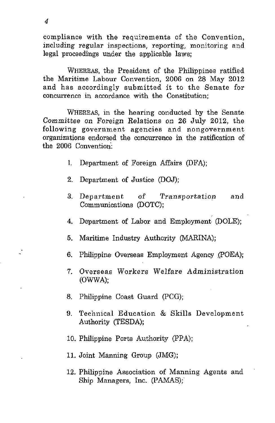compliance with the requirements of the Convention, including regular inspections, reporting, monitoring and legal proceedings under the applicable laws;

WHEREAS, the President of the Philippines ratified the Maritime Labour Convention, 2006 on 28 May 2012 and has accordingly submitted it to the Senate for concurrence in accordance with the Constitution;

WHEREAS, in the hearing conducted by the Senate Committee on Foreign Relations on 26 July 2012, the following government agencies and nongovernment organizations endorsed the concurrence in the ratification of the 2006 Convention:

- I. Department of Foreign Mfairs (DFA);
- 2. Department of Justice (DOJ);
- 3. Department of Transportatiop and Communications (DOTC);
- 4. Department of Labor and Employment (DOLE);
- 5. Maritime Industry Authority (MARINA);
- 6. Philippine· Overseas Employment Agency .(POEA);
- 7. Overseas Workers Welfare Administration (OWWA);
- 8. Philippine Coast Guard (pCG);
- 9. Technical Education & Skills Development Authority (TESDA);
- 10. Philippine Ports Authority (PPA);
- **11.** Joint Manning Group (JMG);
- 12. Philippine Association of Manning Agents and Ship Managers, Inc. (PAMAS);

J.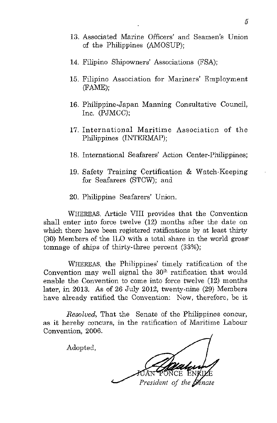- 13. Associated Marine Officers' and Seamen's Union of the Philippines (AMOSUP);
- 14. Filipino Shipowners' Associations (FSA);
- 15. Filipino Association for Mariners' Employment (FAME);
- 16. Philippine-Japan Manning Consultative Council, Inc. (PJMCC);
- 17. International Maritime Association of the Philippines (INTERMAP);
- 18. International Seafarers' Action Center-Philippines;
- 19. Safety Training Certification & Watch-Keeping for Seafarers (STCW); and
- 20. Philippine Seafarers' Union.

WHEREAS, Article VIII provides that the Convention shall enter into force twelve (12) months after the date on which there have been registered ratifications by at least thirty (30) Members of the ILO with a total share in the world gross' tonnage of ships of thirty-three percent (33%);

WHEREAS, the Philippines' timely ratification of the Convention may well signal the  $30<sup>th</sup>$  ratification that would enable the Convention to come into force twelve (12) months later, in 2013. As of 26 July 2012, twenty-nine (29) Members have already ratified the Convention: Now, therefore, be it

*Resolved,* That the Senate of the Philippines concur, as it hereby concurs, in the ratification of Maritime Labour Convention, 2006.

Adopted,

President of the **Senate**